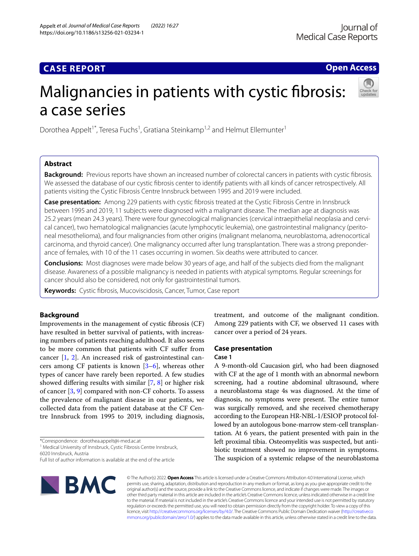# **CASE REPORT**

**Open Access**

# Malignancies in patients with cystic fbrosis: a case series



# **Abstract**

**Background:** Previous reports have shown an increased number of colorectal cancers in patients with cystic fbrosis. We assessed the database of our cystic fbrosis center to identify patients with all kinds of cancer retrospectively. All patients visiting the Cystic Fibrosis Centre Innsbruck between 1995 and 2019 were included.

**Case presentation:** Among 229 patients with cystic fbrosis treated at the Cystic Fibrosis Centre in Innsbruck between 1995 and 2019, 11 subjects were diagnosed with a malignant disease. The median age at diagnosis was 25.2 years (mean 24.3 years). There were four gynecological malignancies (cervical intraepithelial neoplasia and cervical cancer), two hematological malignancies (acute lymphocytic leukemia), one gastrointestinal malignancy (peritoneal mesothelioma), and four malignancies from other origins (malignant melanoma, neuroblastoma, adrenocortical carcinoma, and thyroid cancer). One malignancy occurred after lung transplantation. There was a strong preponderance of females, with 10 of the 11 cases occurring in women. Six deaths were attributed to cancer.

**Conclusions:** Most diagnoses were made below 30 years of age, and half of the subjects died from the malignant disease. Awareness of a possible malignancy is needed in patients with atypical symptoms. Regular screenings for cancer should also be considered, not only for gastrointestinal tumors.

**Keywords:** Cystic fbrosis, Mucoviscidosis, Cancer, Tumor, Case report

# **Background**

Improvements in the management of cystic fbrosis (CF) have resulted in better survival of patients, with increasing numbers of patients reaching adulthood. It also seems to be more common that patients with CF sufer from cancer [[1,](#page-5-0) [2](#page-5-1)]. An increased risk of gastrointestinal cancers among CF patients is known [\[3](#page-5-2)[–6](#page-5-3)], whereas other types of cancer have rarely been reported. A few studies showed difering results with similar [\[7](#page-5-4), [8](#page-5-5)] or higher risk of cancer [[3](#page-5-2), [9\]](#page-5-6) compared with non-CF cohorts. To assess the prevalence of malignant disease in our patients, we collected data from the patient database at the CF Centre Innsbruck from 1995 to 2019, including diagnosis,

\*Correspondence: dorothea.appelt@i-med.ac.at

<sup>1</sup> Medical University of Innsbruck, Cystic Fibrosis Centre Innsbruck, 6020 Innsbruck, Austria

Full list of author information is available at the end of the article



treatment, and outcome of the malignant condition. Among 229 patients with CF, we observed 11 cases with cancer over a period of 24 years.

# **Case presentation**

### **Case 1**

A 9-month-old Caucasion girl, who had been diagnosed with CF at the age of 1 month with an abnormal newborn screening, had a routine abdominal ultrasound, where a neuroblastoma stage 4s was diagnosed. At the time of diagnosis, no symptoms were present. The entire tumor was surgically removed, and she received chemotherapy according to the European HR-NBL-1/ESIOP protocol followed by an autologous bone-marrow stem-cell transplantation. At 6 years, the patient presented with pain in the left proximal tibia. Osteomyelitis was suspected, but antibiotic treatment showed no improvement in symptoms. The suspicion of a systemic relapse of the neuroblastoma

© The Author(s) 2022. **Open Access** This article is licensed under a Creative Commons Attribution 4.0 International License, which permits use, sharing, adaptation, distribution and reproduction in any medium or format, as long as you give appropriate credit to the original author(s) and the source, provide a link to the Creative Commons licence, and indicate if changes were made. The images or other third party material in this article are included in the article's Creative Commons licence, unless indicated otherwise in a credit line to the material. If material is not included in the article's Creative Commons licence and your intended use is not permitted by statutory regulation or exceeds the permitted use, you will need to obtain permission directly from the copyright holder. To view a copy of this licence, visit [http://creativecommons.org/licenses/by/4.0/.](http://creativecommons.org/licenses/by/4.0/) The Creative Commons Public Domain Dedication waiver ([http://creativeco](http://creativecommons.org/publicdomain/zero/1.0/) [mmons.org/publicdomain/zero/1.0/](http://creativecommons.org/publicdomain/zero/1.0/)) applies to the data made available in this article, unless otherwise stated in a credit line to the data.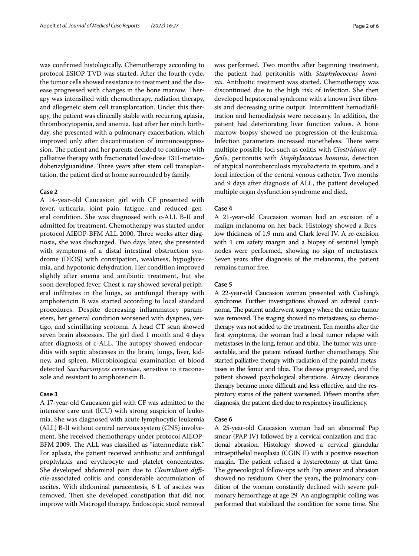was confrmed histologically. Chemotherapy according to protocol ESIOP TVD was started. After the fourth cycle, the tumor cells showed resistance to treatment and the disease progressed with changes in the bone marrow. Therapy was intensifed with chemotherapy, radiation therapy, and allogeneic stem cell transplantation. Under this therapy, the patient was clinically stable with recurring aplasia, thrombocytopenia, and anemia. Just after her ninth birthday, she presented with a pulmonary exacerbation, which improved only after discontinuation of immunosuppression. The patient and her parents decided to continue with palliative therapy with fractionated low-dose 131I-metaiodobenzylguanidine. Three years after stem cell transplantation, the patient died at home surrounded by family.

### **Case 2**

A 14-year-old Caucasion girl with CF presented with fever, urticaria, joint pain, fatigue, and reduced general condition. She was diagnosed with c-ALL B-II and admitted for treatment. Chemotherapy was started under protocol AIEOP-BFM ALL 2000. Three weeks after diagnosis, she was discharged. Two days later, she presented with symptoms of a distal intestinal obstruction syndrome (DIOS) with constipation, weakness, hypoglycemia, and hypotonic dehydration. Her condition improved slightly after enema and antibiotic treatment, but she soon developed fever. Chest x-ray showed several peripheral infltrates in the lungs, so antifungal therapy with amphotericin B was started according to local standard procedures. Despite decreasing infammatory parameters, her general condition worsened with dyspnea, vertigo, and scintillating scotoma. A head CT scan showed seven brain abscesses. The girl died 1 month and 4 days after diagnosis of c-ALL. The autopsy showed endocarditis with septic abscesses in the brain, lungs, liver, kidney, and spleen. Microbiological examination of blood detected *Saccharomyces cerevisiae*, sensitive to itraconazole and resistant to amphotericin B.

## **Case 3**

A 17-year-old Caucasion girl with CF was admitted to the intensive care unit (ICU) with strong suspicion of leukemia. She was diagnosed with acute lymphocytic leukemia (ALL) B-II without central nervous system (CNS) involvement. She received chemotherapy under protocol AIEOP-BFM 2009. The ALL was classified as "intermediate risk." For aplasia, the patient received antibiotic and antifungal prophylaxis and erythrocyte and platelet concentrates. She developed abdominal pain due to *Clostridium difcile*-associated colitis and considerable accumulation of ascites. With abdominal paracentesis, 6 L of ascites was removed. Then she developed constipation that did not improve with Macrogol therapy. Endoscopic stool removal was performed. Two months after beginning treatment, the patient had peritonitis with *Staphylococcus hominis*. Antibiotic treatment was started. Chemotherapy was discontinued due to the high risk of infection. She then developed hepatorenal syndrome with a known liver fbrosis and decreasing urine output. Intermittent hemodiafltration and hemodialysis were necessary. In addition, the patient had deteriorating liver function values. A bone marrow biopsy showed no progression of the leukemia. Infection parameters increased nonetheless. There were multiple possible foci such as colitis with *Clostridium diffcile*, peritonitis with *Staphylococcus hominis*, detection of atypical nontuberculosis mycobacteria in sputum, and a local infection of the central venous catheter. Two months and 9 days after diagnosis of ALL, the patient developed multiple organ dysfunction syndrome and died.

### **Case 4**

A 21-year-old Caucasion woman had an excision of a malign melanoma on her back. Histology showed a Breslow thickness of 1.9 mm and Clark level IV. A re-excision with 1 cm safety margin and a biopsy of sentinel lymph nodes were performed, showing no sign of metastases. Seven years after diagnosis of the melanoma, the patient remains tumor free.

### **Case 5**

A 22-year-old Caucasion woman presented with Cushing's syndrome. Further investigations showed an adrenal carcinoma. The patient underwent surgery where the entire tumor was removed. The staging showed no metastases, so chemotherapy was not added to the treatment. Ten months after the frst symptoms, the woman had a local tumor relapse with metastases in the lung, femur, and tibia. The tumor was unresectable, and the patient refused further chemotherapy. She started palliative therapy with radiation of the painful metastases in the femur and tibia. The disease progressed, and the patient showed psychological alterations. Airway clearance therapy became more difficult and less effective, and the respiratory status of the patient worsened. Fifteen months after diagnosis, the patient died due to respiratory insufficiency.

### **Case 6**

A 25-year-old Caucasion woman had an abnormal Pap smear (PAP IV) followed by a cervical conization and fractional abrasion. Histology showed a cervical glandular intraepithelial neoplasia (CGIN II) with a positive resection margin. The patient refused a hysterectomy at that time. The gynecological follow-ups with Pap smear and abrasion showed no residuum. Over the years, the pulmonary condition of the woman constantly declined with severe pulmonary hemorrhage at age 29. An angiographic coiling was performed that stabilized the condition for some time. She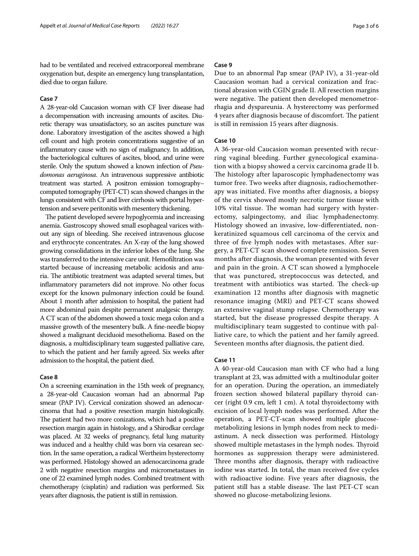had to be ventilated and received extracorporeal membrane oxygenation but, despite an emergency lung transplantation, died due to organ failure.

## **Case 7**

A 28-year-old Caucasion woman with CF liver disease had a decompensation with increasing amounts of ascites. Diuretic therapy was unsatisfactory, so an ascites puncture was done. Laboratory investigation of the ascites showed a high cell count and high protein concentrations suggestive of an infammatory cause with no sign of malignancy. In addition, the bacteriological cultures of ascites, blood, and urine were sterile. Only the sputum showed a known infection of *Pseudomonas aeruginosa*. An intravenous suppressive antibiotic treatment was started. A positron emission tomography– computed tomography (PET-CT) scan showed changes in the lungs consistent with CF and liver cirrhosis with portal hypertension and severe peritonitis with mesentery thickening.

The patient developed severe hypoglycemia and increasing anemia. Gastroscopy showed small esophageal varices without any sign of bleeding. She received intravenous glucose and erythrocyte concentrates. An X-ray of the lung showed growing consolidations in the inferior lobes of the lung. She was transferred to the intensive care unit. Hemofltration was started because of increasing metabolic acidosis and anuria. The antibiotic treatment was adapted several times, but infammatory parameters did not improve. No other focus except for the known pulmonary infection could be found. About 1 month after admission to hospital, the patient had more abdominal pain despite permanent analgesic therapy. A CT scan of the abdomen showed a toxic mega colon and a massive growth of the mesentery bulk. A fne-needle biopsy showed a malignant deciduoid mesothelioma. Based on the diagnosis, a multidisciplinary team suggested palliative care, to which the patient and her family agreed. Six weeks after admission to the hospital, the patient died.

### **Case 8**

On a screening examination in the 15th week of pregnancy, a 28-year-old Caucasion woman had an abnormal Pap smear (PAP IV). Cervical conization showed an adenocarcinoma that had a positive resection margin histologically. The patient had two more conizations, which had a positive resection margin again in histology, and a Shirodkar cerclage was placed. At 32 weeks of pregnancy, fetal lung maturity was induced and a healthy child was born via cesarean section. In the same operation, a radical Wertheim hysterectomy was performed. Histology showed an adenocarcinoma grade 2 with negative resection margins and micrometastases in one of 22 examined lymph nodes. Combined treatment with chemotherapy (cisplatin) and radiation was performed. Six years after diagnosis, the patient is still in remission.

### **Case 9**

Due to an abnormal Pap smear (PAP IV), a 31-year-old Caucasion woman had a cervical conization and fractional abrasion with CGIN grade II. All resection margins were negative. The patient then developed menometrorrhagia and dyspareunia. A hysterectomy was performed 4 years after diagnosis because of discomfort. The patient is still in remission 15 years after diagnosis.

# **Case 10**

A 36-year-old Caucasion woman presented with recurring vaginal bleeding. Further gynecological examination with a biopsy showed a cervix carcinoma grade II b. The histology after laparoscopic lymphadenectomy was tumor free. Two weeks after diagnosis, radiochemotherapy was initiated. Five months after diagnosis, a biopsy of the cervix showed mostly necrotic tumor tissue with 10% vital tissue. The woman had surgery with hysterectomy, salpingectomy, and iliac lymphadenectomy. Histology showed an invasive, low-diferentiated, nonkeratinized squamous cell carcinoma of the cervix and three of fve lymph nodes with metastases. After surgery, a PET-CT scan showed complete remission. Seven months after diagnosis, the woman presented with fever and pain in the groin. A CT scan showed a lymphocele that was punctured, streptococcus was detected, and treatment with antibiotics was started. The check-up examination 12 months after diagnosis with magnetic resonance imaging (MRI) and PET-CT scans showed an extensive vaginal stump relapse. Chemotherapy was started, but the disease progressed despite therapy. A multidisciplinary team suggested to continue with palliative care, to which the patient and her family agreed. Seventeen months after diagnosis, the patient died.

### **Case 11**

A 40-year-old Caucasion man with CF who had a lung transplant at 23, was admitted with a multinodular goiter for an operation. During the operation, an immediately frozen section showed bilateral papillary thyroid cancer (right 0.9 cm, left 1 cm). A total thyroidectomy with excision of local lymph nodes was performed. After the operation, a PET-CT-scan showed multiple glucosemetabolizing lesions in lymph nodes from neck to mediastinum. A neck dissection was performed. Histology showed multiple metastases in the lymph nodes. Thyroid hormones as suppression therapy were administered. Three months after diagnosis, therapy with radioactive iodine was started. In total, the man received five cycles with radioactive iodine. Five years after diagnosis, the patient still has a stable disease. The last PET-CT scan showed no glucose-metabolizing lesions.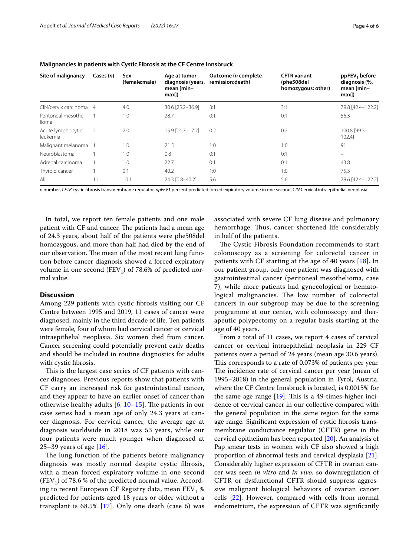| Site of malignancy            | Cases $(n)$    | Sex<br>(female:male) | Age at tumor<br>diagnosis (years,<br>mean [min-<br>max]) | Outcome ( <i>n</i> complete<br>remission:death) | <b>CFTR</b> variant<br>(phe508del<br>homozygous: other) | ppFEV, before<br>diagnosis (%,<br>mean [min-<br>max]) |
|-------------------------------|----------------|----------------------|----------------------------------------------------------|-------------------------------------------------|---------------------------------------------------------|-------------------------------------------------------|
| CIN/cervix carcinoma          | $\overline{4}$ | 4:0                  | 30.6 [25.2-36.9]                                         | 3:1                                             | 3:1                                                     | 79.8 [42.4-122.2]                                     |
| Peritoneal mesothe-<br>lioma  |                | 1:0                  | 28.7                                                     | 0:1                                             | 0:1                                                     | 56.3                                                  |
| Acute lymphocytic<br>leukemia | 2              | 2:0                  | 15.9 [14.7-17.2]                                         | 0:2                                             | 0:2                                                     | 100.8 [99.3-<br>102.41                                |
| Malignant melanoma            |                | 1:0                  | 21.5                                                     | 1:0                                             | 1:0                                                     | 91                                                    |
| Neuroblastoma                 |                | 1:0                  | 0.8                                                      | 0:1                                             | 0:1                                                     |                                                       |
| Adrenal carcinoma             |                | 1:0                  | 22.7                                                     | 0:1                                             | 0:1                                                     | 43.8                                                  |
| Thyroid cancer                |                | 0:1                  | 40.2                                                     | 1:0                                             | 1:0                                                     | 75.3                                                  |
| All                           |                | 10:1                 | 24.3 [0.8-40.2]                                          | 5:6                                             | 5:6                                                     | 78.6 [42.4-122.2]                                     |

| Malignancies in patients with Cystic Fibrosis at the CF Centre Innsbruck |
|--------------------------------------------------------------------------|
|--------------------------------------------------------------------------|

*n* number, *CFTR* cystic fbrosis transmembrane regulator, *ppFEV1* percent predicted forced expiratory volume in one second, *CIN* Cervical intraepithelial neoplasia

In total, we report ten female patients and one male patient with CF and cancer. The patients had a mean age of 24.3 years, about half of the patients were phe508del homozygous, and more than half had died by the end of our observation. The mean of the most recent lung function before cancer diagnosis showed a forced expiratory volume in one second (FEV<sub>1</sub>) of 78.6% of predicted normal value.

# **Discussion**

Among 229 patients with cystic fbrosis visiting our CF Centre between 1995 and 2019, 11 cases of cancer were diagnosed, mainly in the third decade of life. Ten patients were female, four of whom had cervical cancer or cervical intraepithelial neoplasia. Six women died from cancer. Cancer screening could potentially prevent early deaths and should be included in routine diagnostics for adults with cystic fbrosis.

This is the largest case series of CF patients with cancer diagnoses. Previous reports show that patients with CF carry an increased risk for gastrointestinal cancer, and they appear to have an earlier onset of cancer than otherwise healthy adults  $[6, 10-15]$  $[6, 10-15]$  $[6, 10-15]$  $[6, 10-15]$  $[6, 10-15]$  $[6, 10-15]$  $[6, 10-15]$ . The patients in our case series had a mean age of only 24.3 years at cancer diagnosis. For cervical cancer, the average age at diagnosis worldwide in 2018 was 53 years, while our four patients were much younger when diagnosed at 25–39 years of age  $[16]$  $[16]$ .

The lung function of the patients before malignancy diagnosis was mostly normal despite cystic fbrosis, with a mean forced expiratory volume in one second  $(FEV<sub>1</sub>)$  of 78.6 % of the predicted normal value. According to recent European CF Registry data, mean  $FEV<sub>1</sub>$  % predicted for patients aged 18 years or older without a transplant is  $68.5\%$  [\[17](#page-5-10)]. Only one death (case 6) was associated with severe CF lung disease and pulmonary hemorrhage. Thus, cancer shortened life considerably in half of the patients.

The Cystic Fibrosis Foundation recommends to start colonoscopy as a screening for colorectal cancer in patients with CF starting at the age of 40 years  $[18]$  $[18]$ . In our patient group, only one patient was diagnosed with gastrointestinal cancer (peritoneal mesothelioma, case 7), while more patients had gynecological or hematological malignancies. The low number of colorectal cancers in our subgroup may be due to the screening programme at our center, with colonoscopy and therapeutic polypectomy on a regular basis starting at the age of 40 years.

From a total of 11 cases, we report 4 cases of cervical cancer or cervical intraepithelial neoplasia in 229 CF patients over a period of 24 years (mean age 30.6 years). This corresponds to a rate of 0.073% of patients per year. The incidence rate of cervical cancer per year (mean of 1995–2018) in the general population in Tyrol, Austria, where the CF Centre Innsbruck is located, is 0.0015% for the same age range  $[19]$  $[19]$ . This is a 49-times-higher incidence of cervical cancer in our collective compared with the general population in the same region for the same age range. Signifcant expression of cystic fbrosis transmembrane conductance regulator (CFTR) gene in the cervical epithelium has been reported [\[20](#page-5-13)]. An analysis of Pap smear tests in women with CF also showed a high proportion of abnormal tests and cervical dysplasia [\[21](#page-5-14)]. Considerably higher expression of CFTR in ovarian cancer was seen *in vitro* and *in vivo*, so downregulation of CFTR or dysfunctional CFTR should suppress aggressive malignant biological behaviors of ovarian cancer cells [\[22](#page-5-15)]. However, compared with cells from normal endometrium, the expression of CFTR was signifcantly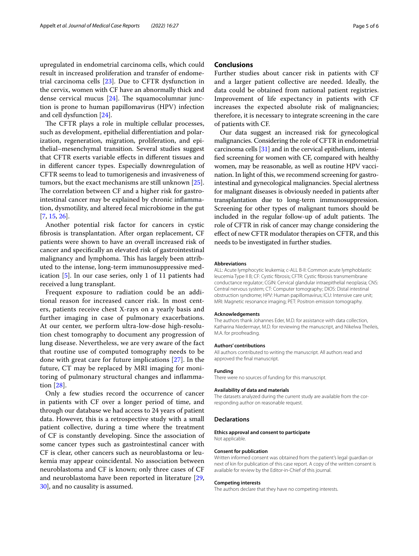# upregulated in endometrial carcinoma cells, which could result in increased proliferation and transfer of endometrial carcinoma cells [\[23\]](#page-5-16). Due to CFTR dysfunction in the cervix, women with CF have an abnormally thick and dense cervical mucus  $[24]$  $[24]$  $[24]$ . The squamocolumnar junction is prone to human papillomavirus (HPV) infection and cell dysfunction [\[24](#page-5-17)].

The CFTR plays a role in multiple cellular processes, such as development, epithelial diferentiation and polarization, regeneration, migration, proliferation, and epithelial–mesenchymal transition. Several studies suggest that CFTR exerts variable efects in diferent tissues and in diferent cancer types. Especially downregulation of CFTR seems to lead to tumorigenesis and invasiveness of tumors, but the exact mechanisms are still unknown [\[25](#page-5-18)]. The correlation between CF and a higher risk for gastrointestinal cancer may be explained by chronic infammation, dysmotility, and altered fecal microbiome in the gut [[7,](#page-5-4) [15](#page-5-8), [26\]](#page-5-19).

Another potential risk factor for cancers in cystic fbrosis is transplantation. After organ replacement, CF patients were shown to have an overall increased risk of cancer and specifcally an elevated risk of gastrointestinal malignancy and lymphoma. This has largely been attributed to the intense, long-term immunosuppressive medication [\[5](#page-5-20)]. In our case series, only 1 of 11 patients had received a lung transplant.

Frequent exposure to radiation could be an additional reason for increased cancer risk. In most centers, patients receive chest X-rays on a yearly basis and further imaging in case of pulmonary exacerbations. At our center, we perform ultra-low-dose high-resolution chest tomography to document any progression of lung disease. Nevertheless, we are very aware of the fact that routine use of computed tomography needs to be done with great care for future implications [[27](#page-5-21)]. In the future, CT may be replaced by MRI imaging for monitoring of pulmonary structural changes and infammation [\[28](#page-5-22)].

Only a few studies record the occurrence of cancer in patients with CF over a longer period of time, and through our database we had access to 24 years of patient data. However, this is a retrospective study with a small patient collective, during a time where the treatment of CF is constantly developing. Since the association of some cancer types such as gastrointestinal cancer with CF is clear, other cancers such as neuroblastoma or leukemia may appear coincidental. No association between neuroblastoma and CF is known; only three cases of CF and neuroblastoma have been reported in literature [\[29](#page-5-23), [30\]](#page-5-24), and no causality is assumed.

# **Conclusions**

Further studies about cancer risk in patients with CF and a larger patient collective are needed. Ideally, the data could be obtained from national patient registries. Improvement of life expectancy in patients with CF increases the expected absolute risk of malignancies; therefore, it is necessary to integrate screening in the care of patients with CF.

Our data suggest an increased risk for gynecological malignancies. Considering the role of CFTR in endometrial carcinoma cells [\[31\]](#page-5-25) and in the cervical epithelium, intensifed screening for women with CF, compared with healthy women, may be reasonable, as well as routine HPV vaccination. In light of this, we recommend screening for gastrointestinal and gynecological malignancies. Special alertness for malignant diseases is obviously needed in patients after transplantation due to long-term immunosuppression. Screening for other types of malignant tumors should be included in the regular follow-up of adult patients. The role of CFTR in risk of cancer may change considering the efect of new CFTR modulator therapies on CFTR, and this needs to be investigated in further studies.

#### **Abbreviations**

ALL: Acute lymphocytic leukemia; c-ALL B-II: Common acute lymphoblastic leucemia Type II B; CF: Cystic fbrosis; CFTR: Cystic fbrosis transmembrane conductance regulator; CGIN: Cervical glandular intraepithelial neoplasia; CNS: Central nervous system; CT: Computer tomography; DIOS: Distal intestinal obstruction syndrome; HPV: Human papillomavirus; ICU: Intensive care unit; MRI: Magnetic resonance imaging; PET: Positron emission tomography.

#### **Acknowledgements**

The authors thank Johannes Eder, M.D. for assistance with data collection, Katharina Niedermayr, M.D. for reviewing the manuscript, and Nikelwa Theileis, M.A. for proofreading.

### **Authors' contributions**

All authors contributed to writing the manuscript. All authors read and approved the fnal manuscript.

### **Funding**

There were no sources of funding for this manuscript.

### **Availability of data and materials**

The datasets analyzed during the current study are available from the corresponding author on reasonable request.

### **Declarations**

**Ethics approval and consent to participate** Not applicable.

### **Consent for publication**

Written informed consent was obtained from the patient's legal guardian or next of kin for publication of this case report. A copy of the written consent is available for review by the Editor-in-Chief of this journal.

### **Competing interests**

The authors declare that they have no competing interests.